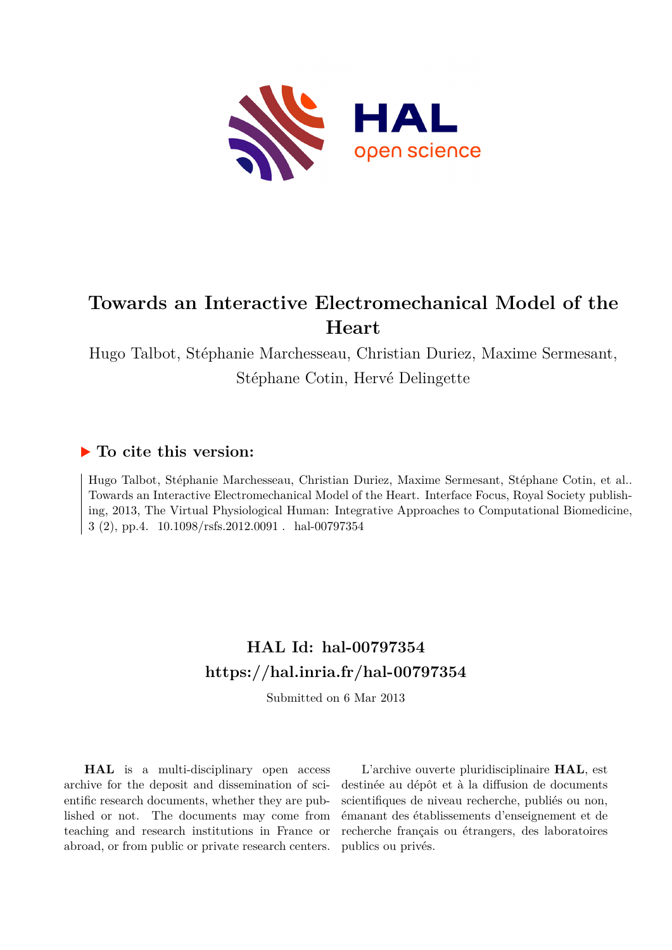

## **Towards an Interactive Electromechanical Model of the Heart**

Hugo Talbot, Stéphanie Marchesseau, Christian Duriez, Maxime Sermesant, Stéphane Cotin, Hervé Delingette

### **To cite this version:**

Hugo Talbot, Stéphanie Marchesseau, Christian Duriez, Maxime Sermesant, Stéphane Cotin, et al.. Towards an Interactive Electromechanical Model of the Heart. Interface Focus, Royal Society publishing, 2013, The Virtual Physiological Human: Integrative Approaches to Computational Biomedicine,  $3$  (2), pp.4.  $10.1098/rsfs.2012.0091$ . hal-00797354

## **HAL Id: hal-00797354 <https://hal.inria.fr/hal-00797354>**

Submitted on 6 Mar 2013

**HAL** is a multi-disciplinary open access archive for the deposit and dissemination of scientific research documents, whether they are published or not. The documents may come from teaching and research institutions in France or abroad, or from public or private research centers.

L'archive ouverte pluridisciplinaire **HAL**, est destinée au dépôt et à la diffusion de documents scientifiques de niveau recherche, publiés ou non, émanant des établissements d'enseignement et de recherche français ou étrangers, des laboratoires publics ou privés.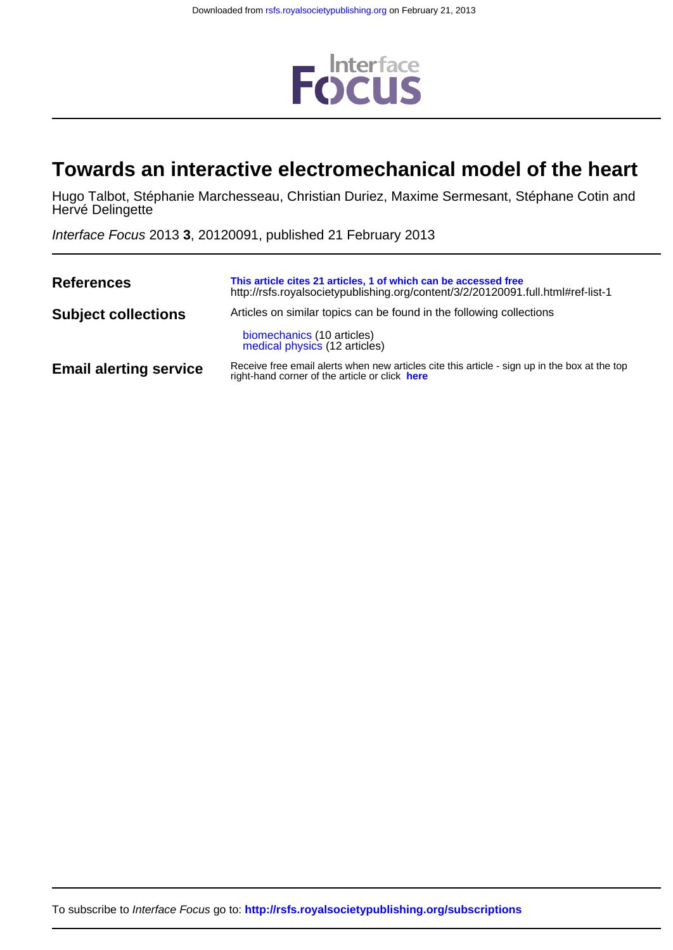

## **Towards an interactive electromechanical model of the heart**

Hervé Delingette Hugo Talbot, Stéphanie Marchesseau, Christian Duriez, Maxime Sermesant, Stéphane Cotin and

Interface Focus 2013 **3**, 20120091, published 21 February 2013

| <b>References</b>             | This article cites 21 articles, 1 of which can be accessed free<br>http://rsfs.royalsocietypublishing.org/content/3/2/20120091.full.html#ref-list-1 |  |
|-------------------------------|-----------------------------------------------------------------------------------------------------------------------------------------------------|--|
| <b>Subject collections</b>    | Articles on similar topics can be found in the following collections                                                                                |  |
|                               | biomechanics (10 articles)<br>medical physics (12 articles)                                                                                         |  |
| <b>Email alerting service</b> | Receive free email alerts when new articles cite this article - sign up in the box at the top<br>right-hand corner of the article or click here     |  |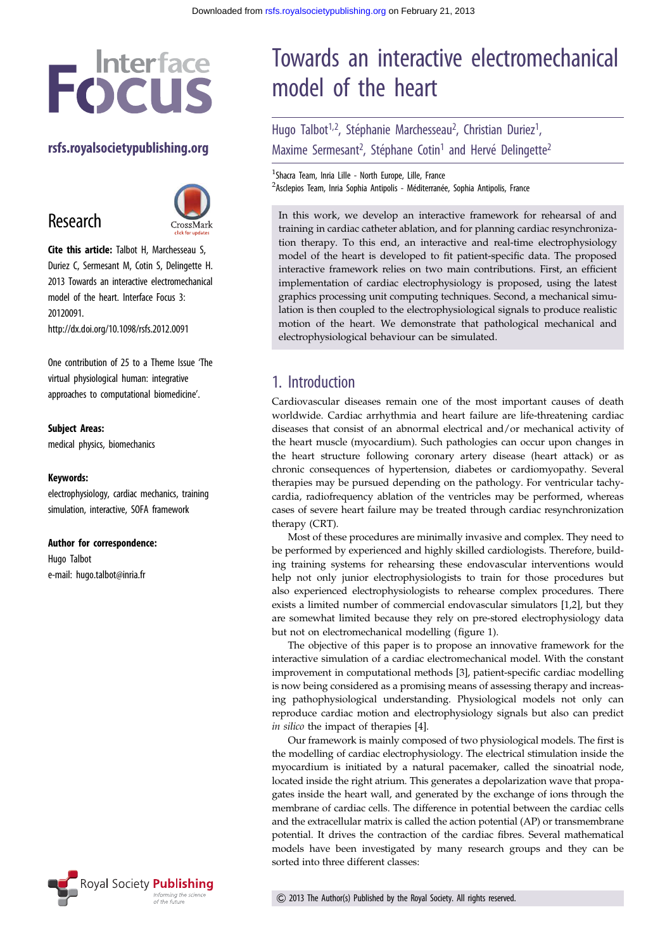

### rsfs.royalsocietypublishing.org

## Research



Cite this article: Talbot H, Marchesseau S, Duriez C, Sermesant M, Cotin S, Delingette H. 2013 Towards an interactive electromechanical model of the heart. Interface Focus 3: 20120091. http://dx.doi.org/10.1098/rsfs.2012.0091

One contribution of 25 to a Theme Issue 'The virtual physiological human: integrative approaches to computational biomedicine'.

#### Subject Areas:

medical physics, biomechanics

#### Keywords:

electrophysiology, cardiac mechanics, training simulation, interactive, SOFA framework

#### Author for correspondence:

Hugo Talbot e-mail: [hugo.talbot@inria.fr](mailto:hugo.talbot@inria.fr)



# Towards an interactive electromechanical model of the heart

### Hugo Talbot<sup>1,2</sup>, Stéphanie Marchesseau<sup>2</sup>, Christian Duriez<sup>1</sup> , Maxime Sermesant<sup>2</sup>, Stéphane Cotin<sup>1</sup> and Hervé Delingette<sup>2</sup>

<sup>1</sup> Shacra Team, Inria Lille - North Europe, Lille, France <sup>2</sup> Asclepios Team, Inria Sophia Antipolis - Méditerranée, Sophia Antipolis, France

In this work, we develop an interactive framework for rehearsal of and training in cardiac catheter ablation, and for planning cardiac resynchronization therapy. To this end, an interactive and real-time electrophysiology model of the heart is developed to fit patient-specific data. The proposed interactive framework relies on two main contributions. First, an efficient implementation of cardiac electrophysiology is proposed, using the latest graphics processing unit computing techniques. Second, a mechanical simulation is then coupled to the electrophysiological signals to produce realistic motion of the heart. We demonstrate that pathological mechanical and electrophysiological behaviour can be simulated.

### 1. Introduction

Cardiovascular diseases remain one of the most important causes of death worldwide. Cardiac arrhythmia and heart failure are life-threatening cardiac diseases that consist of an abnormal electrical and/or mechanical activity of the heart muscle (myocardium). Such pathologies can occur upon changes in the heart structure following coronary artery disease (heart attack) or as chronic consequences of hypertension, diabetes or cardiomyopathy. Several therapies may be pursued depending on the pathology. For ventricular tachycardia, radiofrequency ablation of the ventricles may be performed, whereas cases of severe heart failure may be treated through cardiac resynchronization therapy (CRT).

Most of these procedures are minimally invasive and complex. They need to be performed by experienced and highly skilled cardiologists. Therefore, building training systems for rehearsing these endovascular interventions would help not only junior electrophysiologists to train for those procedures but also experienced electrophysiologists to rehearse complex procedures. There exists a limited number of commercial endovascular simulators [\[1,2](#page-12-0)], but they are somewhat limited because they rely on pre-stored electrophysiology data but not on electromechanical modelling [\(figure 1\)](#page-3-0).

The objective of this paper is to propose an innovative framework for the interactive simulation of a cardiac electromechanical model. With the constant improvement in computational methods [\[3\]](#page-12-0), patient-specific cardiac modelling is now being considered as a promising means of assessing therapy and increasing pathophysiological understanding. Physiological models not only can reproduce cardiac motion and electrophysiology signals but also can predict in silico the impact of therapies [\[4\]](#page-12-0).

Our framework is mainly composed of two physiological models. The first is the modelling of cardiac electrophysiology. The electrical stimulation inside the myocardium is initiated by a natural pacemaker, called the sinoatrial node, located inside the right atrium. This generates a depolarization wave that propagates inside the heart wall, and generated by the exchange of ions through the membrane of cardiac cells. The difference in potential between the cardiac cells and the extracellular matrix is called the action potential (AP) or transmembrane potential. It drives the contraction of the cardiac fibres. Several mathematical models have been investigated by many research groups and they can be sorted into three different classes: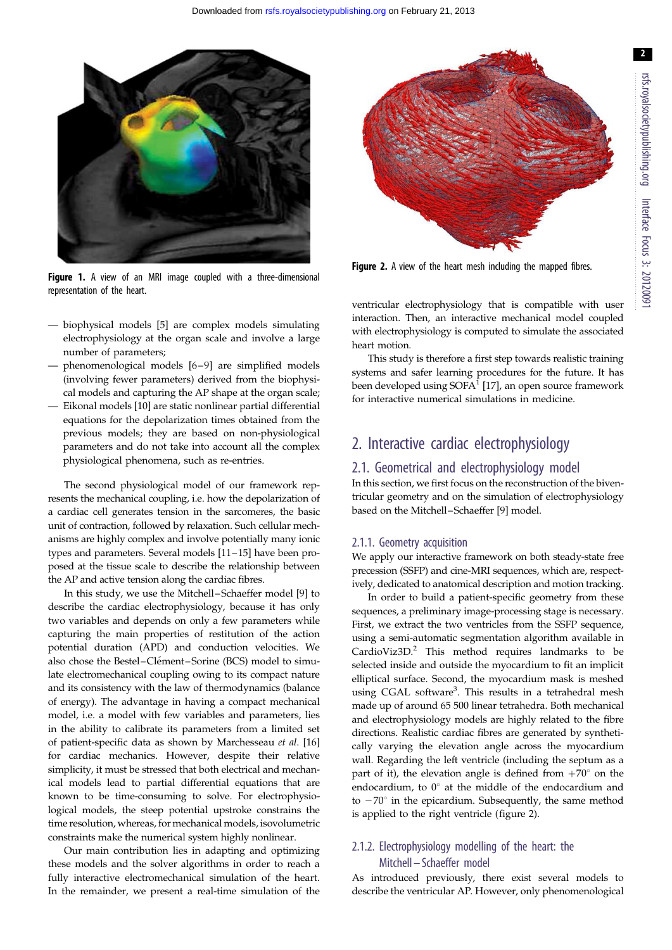2

<span id="page-3-0"></span>

Figure 1. A view of an MRI image coupled with a three-dimensional representation of the heart.

- biophysical models [[5](#page-12-0)] are complex models simulating electrophysiology at the organ scale and involve a large number of parameters;
- phenomenological models [\[6](#page-12-0) –[9](#page-12-0)] are simplified models (involving fewer parameters) derived from the biophysical models and capturing the AP shape at the organ scale;
- Eikonal models [[10\]](#page-12-0) are static nonlinear partial differential equations for the depolarization times obtained from the previous models; they are based on non-physiological parameters and do not take into account all the complex physiological phenomena, such as re-entries.

The second physiological model of our framework represents the mechanical coupling, i.e. how the depolarization of a cardiac cell generates tension in the sarcomeres, the basic unit of contraction, followed by relaxation. Such cellular mechanisms are highly complex and involve potentially many ionic types and parameters. Several models [[11](#page-12-0)–[15\]](#page-12-0) have been proposed at the tissue scale to describe the relationship between the AP and active tension along the cardiac fibres.

In this study, we use the Mitchell– Schaeffer model [\[9\]](#page-12-0) to describe the cardiac electrophysiology, because it has only two variables and depends on only a few parameters while capturing the main properties of restitution of the action potential duration (APD) and conduction velocities. We also chose the Bestel-Clément-Sorine (BCS) model to simulate electromechanical coupling owing to its compact nature and its consistency with the law of thermodynamics (balance of energy). The advantage in having a compact mechanical model, i.e. a model with few variables and parameters, lies in the ability to calibrate its parameters from a limited set of patient-specific data as shown by Marchesseau et al. [[16\]](#page-12-0) for cardiac mechanics. However, despite their relative simplicity, it must be stressed that both electrical and mechanical models lead to partial differential equations that are known to be time-consuming to solve. For electrophysiological models, the steep potential upstroke constrains the time resolution, whereas, for mechanical models, isovolumetric constraints make the numerical system highly nonlinear.

Our main contribution lies in adapting and optimizing these models and the solver algorithms in order to reach a fully interactive electromechanical simulation of the heart. In the remainder, we present a real-time simulation of the



Figure 2. A view of the heart mesh including the mapped fibres.

ventricular electrophysiology that is compatible with user interaction. Then, an interactive mechanical model coupled with electrophysiology is computed to simulate the associated heart motion.

This study is therefore a first step towards realistic training systems and safer learning procedures for the future. It has been developed using SOFA $^1$  [[17\]](#page-12-0), an open source framework for interactive numerical simulations in medicine.

### 2. Interactive cardiac electrophysiology

### 2.1. Geometrical and electrophysiology model

In this section, we first focus on the reconstruction of the biventricular geometry and on the simulation of electrophysiology based on the Mitchell–Schaeffer [\[9\]](#page-12-0) model.

### 2.1.1. Geometry acquisition

We apply our interactive framework on both steady-state free precession (SSFP) and cine-MRI sequences, which are, respectively, dedicated to anatomical description and motion tracking.

In order to build a patient-specific geometry from these sequences, a preliminary image-processing stage is necessary. First, we extract the two ventricles from the SSFP sequence, using a semi-automatic segmentation algorithm available in CardioViz3D.<sup>2</sup> This method requires landmarks to be selected inside and outside the myocardium to fit an implicit elliptical surface. Second, the myocardium mask is meshed using CGAL software<sup>3</sup>. This results in a tetrahedral mesh made up of around 65 500 linear tetrahedra. Both mechanical and electrophysiology models are highly related to the fibre directions. Realistic cardiac fibres are generated by synthetically varying the elevation angle across the myocardium wall. Regarding the left ventricle (including the septum as a part of it), the elevation angle is defined from  $+70^{\circ}$  on the endocardium, to  $0^{\circ}$  at the middle of the endocardium and to  $-70^\circ$  in the epicardium. Subsequently, the same method is applied to the right ventricle (figure 2).

### 2.1.2. Electrophysiology modelling of the heart: the Mitchell – Schaeffer model

As introduced previously, there exist several models to describe the ventricular AP. However, only phenomenological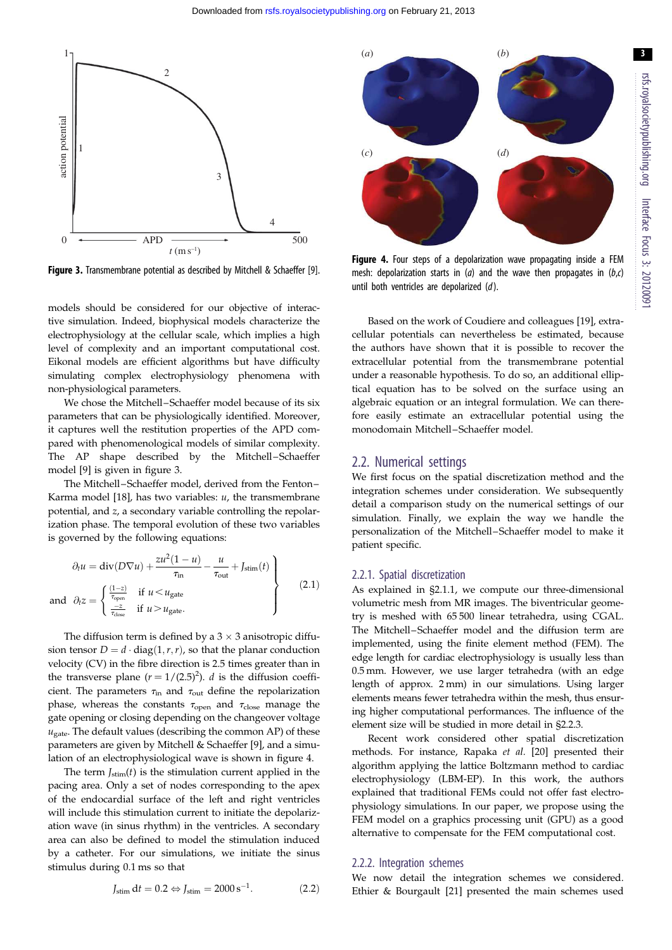

**Figure 3.** Transmembrane potential as described by Mitchell & Schaeffer [\[9](#page-12-0)].

models should be considered for our objective of interactive simulation. Indeed, biophysical models characterize the electrophysiology at the cellular scale, which implies a high level of complexity and an important computational cost. Eikonal models are efficient algorithms but have difficulty simulating complex electrophysiology phenomena with non-physiological parameters.

We chose the Mitchell-Schaeffer model because of its six parameters that can be physiologically identified. Moreover, it captures well the restitution properties of the APD compared with phenomenological models of similar complexity. The AP shape described by the Mitchell–Schaeffer model [\[9\]](#page-12-0) is given in figure 3.

The Mitchell–Schaeffer model, derived from the Fenton – Karma model [\[18](#page-12-0)], has two variables:  $u$ , the transmembrane potential, and z, a secondary variable controlling the repolarization phase. The temporal evolution of these two variables is governed by the following equations:

$$
\partial_t u = \text{div}(D\nabla u) + \frac{zu^2(1-u)}{\tau_{\text{in}}} - \frac{u}{\tau_{\text{out}}} + J_{\text{stim}}(t)
$$
\n
$$
\partial_t z = \begin{cases}\n\frac{(1-z)}{\tau_{\text{open}}} & \text{if } u < u_{\text{gate}} \\
\frac{-z}{\tau_{\text{close}}} & \text{if } u > u_{\text{gate}}\n\end{cases}
$$
\n(2.1)

The diffusion term is defined by a  $3 \times 3$  anisotropic diffusion tensor  $D = d \cdot diag(1, r, r)$ , so that the planar conduction velocity (CV) in the fibre direction is 2.5 times greater than in the transverse plane  $(r = 1/(2.5)^2)$ . *d* is the diffusion coefficient. The parameters  $\tau_{\text{in}}$  and  $\tau_{\text{out}}$  define the repolarization phase, whereas the constants  $\tau_{open}$  and  $\tau_{close}$  manage the gate opening or closing depending on the changeover voltage  $u_{\text{gate}}$ . The default values (describing the common AP) of these parameters are given by Mitchell & Schaeffer [[9](#page-12-0)], and a simulation of an electrophysiological wave is shown in figure 4.

The term  $J_{\text{stim}}(t)$  is the stimulation current applied in the pacing area. Only a set of nodes corresponding to the apex of the endocardial surface of the left and right ventricles will include this stimulation current to initiate the depolarization wave (in sinus rhythm) in the ventricles. A secondary area can also be defined to model the stimulation induced by a catheter. For our simulations, we initiate the sinus stimulus during 0.1 ms so that

$$
J_{\text{stim}} dt = 0.2 \Leftrightarrow J_{\text{stim}} = 2000 \,\text{s}^{-1}.\tag{2.2}
$$



Figure 4. Four steps of a depolarization wave propagating inside a FEM mesh: depolarization starts in (a) and the wave then propagates in  $(b, c)$ until both ventricles are depolarized (d).

Based on the work of Coudiere and colleagues [[19\]](#page-12-0), extracellular potentials can nevertheless be estimated, because the authors have shown that it is possible to recover the extracellular potential from the transmembrane potential under a reasonable hypothesis. To do so, an additional elliptical equation has to be solved on the surface using an algebraic equation or an integral formulation. We can therefore easily estimate an extracellular potential using the monodomain Mitchell–Schaeffer model.

### 2.2. Numerical settings

We first focus on the spatial discretization method and the integration schemes under consideration. We subsequently detail a comparison study on the numerical settings of our simulation. Finally, we explain the way we handle the personalization of the Mitchell–Schaeffer model to make it patient specific.

### 2.2.1. Spatial discretization

As explained in §2.1.1, we compute our three-dimensional volumetric mesh from MR images. The biventricular geometry is meshed with 65 500 linear tetrahedra, using CGAL. The Mitchell–Schaeffer model and the diffusion term are implemented, using the finite element method (FEM). The edge length for cardiac electrophysiology is usually less than 0.5 mm. However, we use larger tetrahedra (with an edge length of approx. 2 mm) in our simulations. Using larger elements means fewer tetrahedra within the mesh, thus ensuring higher computational performances. The influence of the element size will be studied in more detail in §2.2.3.

Recent work considered other spatial discretization methods. For instance, Rapaka et al. [[20\]](#page-12-0) presented their algorithm applying the lattice Boltzmann method to cardiac electrophysiology (LBM-EP). In this work, the authors explained that traditional FEMs could not offer fast electrophysiology simulations. In our paper, we propose using the FEM model on a graphics processing unit (GPU) as a good alternative to compensate for the FEM computational cost.

#### 2.2.2. Integration schemes

We now detail the integration schemes we considered. Ethier & Bourgault [[21\]](#page-12-0) presented the main schemes used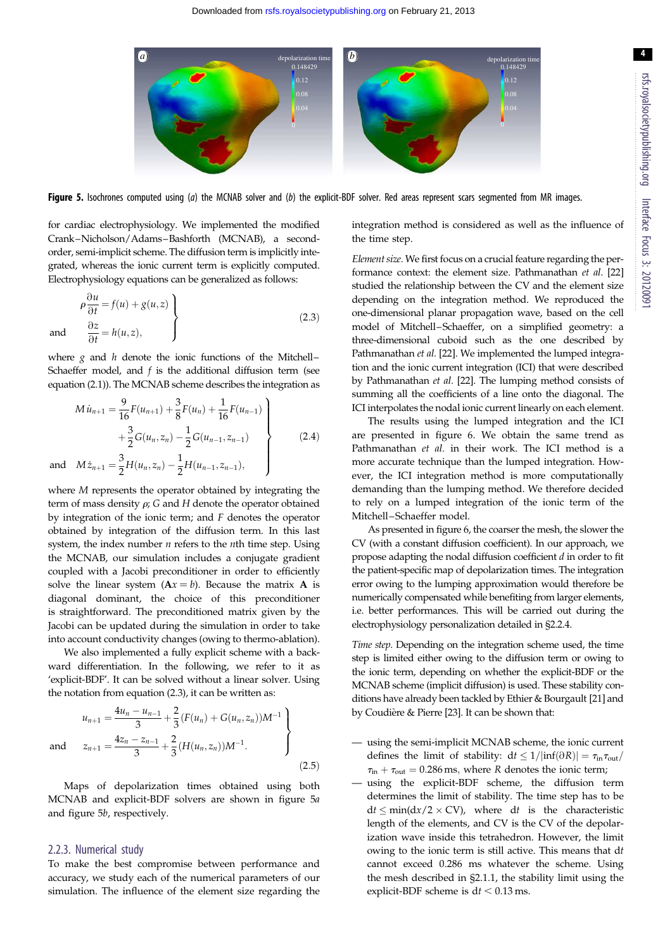

Figure 5. Isochrones computed using (a) the MCNAB solver and (b) the explicit-BDF solver. Red areas represent scars segmented from MR images.

for cardiac electrophysiology. We implemented the modified Crank–Nicholson/Adams–Bashforth (MCNAB), a secondorder, semi-implicit scheme. The diffusion term is implicitly integrated, whereas the ionic current term is explicitly computed. Electrophysiology equations can be generalized as follows:

$$
\left\{\n \begin{aligned}\n \rho \frac{\partial u}{\partial t} &= f(u) + g(u, z) \\
 \frac{\partial z}{\partial t} &= h(u, z),\n \end{aligned}\n \right\}\n \tag{2.3}
$$

where  $g$  and  $h$  denote the ionic functions of the Mitchell– Schaeffer model, and  $f$  is the additional diffusion term (see equation (2.1)). The MCNAB scheme describes the integration as

$$
M\dot{u}_{n+1} = \frac{9}{16}F(u_{n+1}) + \frac{3}{8}F(u_n) + \frac{1}{16}F(u_{n-1}) + \frac{3}{2}G(u_n, z_n) - \frac{1}{2}G(u_{n-1}, z_{n-1})
$$
  

$$
M\dot{z}_{n+1} = \frac{3}{2}H(u_n, z_n) - \frac{1}{2}H(u_{n-1}, z_{n-1}),
$$
 (2.4)

and  $M \dot{z}_{n+1} = \frac{3}{2}$  $\frac{3}{2}H(u_n, z_n) - \frac{1}{2}$  $\frac{1}{2}H(u_{n-1},z_{n-1}),$ 

where M represents the operator obtained by integrating the term of mass density  $\rho$ ; G and H denote the operator obtained by integration of the ionic term; and F denotes the operator obtained by integration of the diffusion term. In this last system, the index number  $n$  refers to the  $n$ th time step. Using the MCNAB, our simulation includes a conjugate gradient coupled with a Jacobi preconditioner in order to efficiently solve the linear system  $(Ax = b)$ . Because the matrix A is diagonal dominant, the choice of this preconditioner is straightforward. The preconditioned matrix given by the Jacobi can be updated during the simulation in order to take into account conductivity changes (owing to thermo-ablation).

We also implemented a fully explicit scheme with a backward differentiation. In the following, we refer to it as 'explicit-BDF'. It can be solved without a linear solver. Using the notation from equation (2.3), it can be written as:

$$
u_{n+1} = \frac{4u_n - u_{n-1}}{3} + \frac{2}{3} (F(u_n) + G(u_n, z_n))M^{-1}
$$
  
and 
$$
z_{n+1} = \frac{4z_n - z_{n-1}}{3} + \frac{2}{3} (H(u_n, z_n))M^{-1}.
$$
 (2.5)

Maps of depolarization times obtained using both MCNAB and explicit-BDF solvers are shown in figure 5a and figure 5b, respectively.

### 2.2.3. Numerical study

To make the best compromise between performance and accuracy, we study each of the numerical parameters of our simulation. The influence of the element size regarding the integration method is considered as well as the influence of the time step.

Element size. We first focus on a crucial feature regarding the performance context: the element size. Pathmanathan et al. [\[22\]](#page-12-0) studied the relationship between the CV and the element size depending on the integration method. We reproduced the one-dimensional planar propagation wave, based on the cell model of Mitchell–Schaeffer, on a simplified geometry: a three-dimensional cuboid such as the one described by Pathmanathan et al. [[22\]](#page-12-0). We implemented the lumped integration and the ionic current integration (ICI) that were described by Pathmanathan et al. [\[22\]](#page-12-0). The lumping method consists of summing all the coefficients of a line onto the diagonal. The ICI interpolates the nodal ionic current linearly on each element.

The results using the lumped integration and the ICI are presented in [figure 6.](#page-6-0) We obtain the same trend as Pathmanathan et al. in their work. The ICI method is a more accurate technique than the lumped integration. However, the ICI integration method is more computationally demanding than the lumping method. We therefore decided to rely on a lumped integration of the ionic term of the Mitchell–Schaeffer model.

As presented in [figure 6](#page-6-0), the coarser the mesh, the slower the CV (with a constant diffusion coefficient). In our approach, we propose adapting the nodal diffusion coefficient d in order to fit the patient-specific map of depolarization times. The integration error owing to the lumping approximation would therefore be numerically compensated while benefiting from larger elements, i.e. better performances. This will be carried out during the electrophysiology personalization detailed in §2.2.4.

Time step. Depending on the integration scheme used, the time step is limited either owing to the diffusion term or owing to the ionic term, depending on whether the explicit-BDF or the MCNAB scheme (implicit diffusion) is used. These stability conditions have already been tackled by Ethier & Bourgault [\[21](#page-12-0)] and by Coudière & Pierre [[23](#page-12-0)]. It can be shown that:

- using the semi-implicit MCNAB scheme, the ionic current defines the limit of stability:  $dt \le 1/|\text{inf}(\partial R)| = \tau_{\text{in}} \tau_{\text{out}}/$  $\tau_{\text{in}} + \tau_{\text{out}} = 0.286 \,\text{ms}$ , where R denotes the ionic term;
- using the explicit-BDF scheme, the diffusion term determines the limit of stability. The time step has to be  $dt \leq min(dx/2 \times CV)$ , where dt is the characteristic length of the elements, and CV is the CV of the depolarization wave inside this tetrahedron. However, the limit owing to the ionic term is still active. This means that dt cannot exceed 0.286 ms whatever the scheme. Using the mesh described in §2.1.1, the stability limit using the explicit-BDF scheme is  $dt < 0.13$  ms.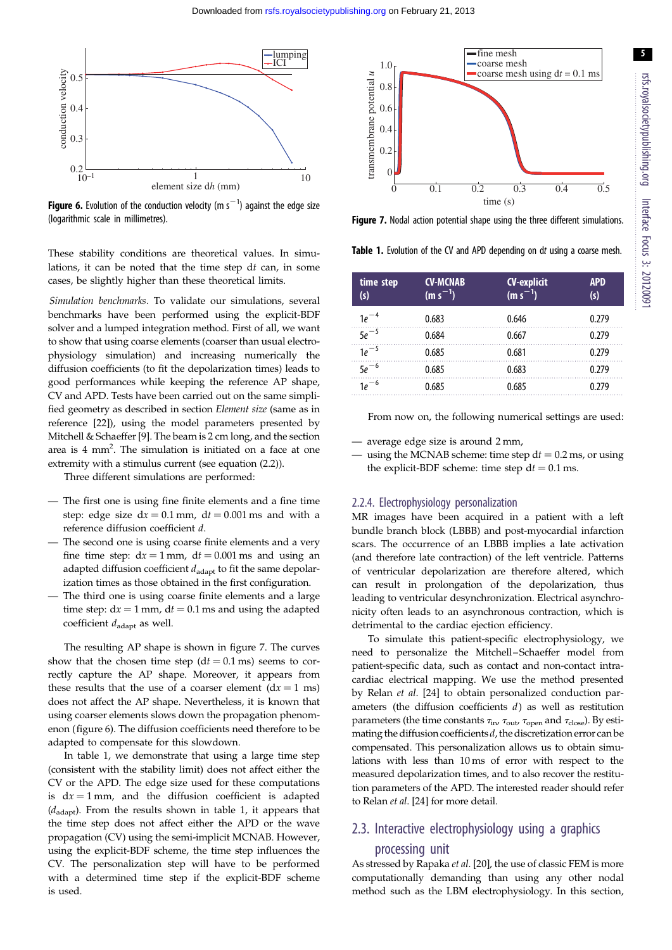<span id="page-6-0"></span>

**Figure 6.** Evolution of the conduction velocity  $(m s^{-1})$  against the edge size (logarithmic scale in millimetres).

These stability conditions are theoretical values. In simulations, it can be noted that the time step dt can, in some cases, be slightly higher than these theoretical limits.

Simulation benchmarks. To validate our simulations, several benchmarks have been performed using the explicit-BDF solver and a lumped integration method. First of all, we want to show that using coarse elements (coarser than usual electrophysiology simulation) and increasing numerically the diffusion coefficients (to fit the depolarization times) leads to good performances while keeping the reference AP shape, CV and APD. Tests have been carried out on the same simplified geometry as described in section Element size (same as in reference [[22\]](#page-12-0)), using the model parameters presented by Mitchell & Schaeffer [\[9\]](#page-12-0). The beam is 2 cm long, and the section area is  $4 \text{ mm}^2$ . The simulation is initiated on a face at one extremity with a stimulus current (see equation (2.2)).

Three different simulations are performed:

- The first one is using fine finite elements and a fine time step: edge size  $dx = 0.1$  mm,  $dt = 0.001$  ms and with a reference diffusion coefficient d.
- The second one is using coarse finite elements and a very fine time step:  $dx = 1$  mm,  $dt = 0.001$  ms and using an adapted diffusion coefficient  $d_{\text{adapt}}$  to fit the same depolarization times as those obtained in the first configuration.
- The third one is using coarse finite elements and a large time step:  $dx = 1$  mm,  $dt = 0.1$  ms and using the adapted coefficient  $d_{\text{adapt}}$  as well.

The resulting AP shape is shown in figure 7. The curves show that the chosen time step  $(dt = 0.1 \text{ ms})$  seems to correctly capture the AP shape. Moreover, it appears from these results that the use of a coarser element  $(dx = 1$  ms) does not affect the AP shape. Nevertheless, it is known that using coarser elements slows down the propagation phenomenon (figure 6). The diffusion coefficients need therefore to be adapted to compensate for this slowdown.

In table 1, we demonstrate that using a large time step (consistent with the stability limit) does not affect either the CV or the APD. The edge size used for these computations is  $dx = 1$  mm, and the diffusion coefficient is adapted  $(d_{\text{adapt}})$ . From the results shown in table 1, it appears that the time step does not affect either the APD or the wave propagation (CV) using the semi-implicit MCNAB. However, using the explicit-BDF scheme, the time step influences the CV. The personalization step will have to be performed with a determined time step if the explicit-BDF scheme is used.



Figure 7. Nodal action potential shape using the three different simulations.

Table 1. Evolution of the CV and APD depending on dt using a coarse mesh.

| time step<br>(s) | <b>CV-MCNAB</b><br>$(m s^{-1})$ | <b>CV-explicit</b><br>$(m s^{-1})$ | <b>APD</b><br>(s) |
|------------------|---------------------------------|------------------------------------|-------------------|
| $1e^{-4}$        | 0.683                           | 0.646                              | 0.279             |
| $5\rho^{-5}$     | 0.684                           | 0.667                              | 0.279             |
| $1e^{-5}$        | 0.685                           | 0.681                              | 0.279             |
| $5e^{-6}$        | 0.685                           | 0.683                              | 0.279             |
| $1e^{-6}$        | 0.685                           | 0.685                              | 0.279             |

From now on, the following numerical settings are used:

— average edge size is around 2 mm,

— using the MCNAB scheme: time step  $dt = 0.2$  ms, or using the explicit-BDF scheme: time step  $dt = 0.1$  ms.

#### 2.2.4. Electrophysiology personalization

MR images have been acquired in a patient with a left bundle branch block (LBBB) and post-myocardial infarction scars. The occurrence of an LBBB implies a late activation (and therefore late contraction) of the left ventricle. Patterns of ventricular depolarization are therefore altered, which can result in prolongation of the depolarization, thus leading to ventricular desynchronization. Electrical asynchronicity often leads to an asynchronous contraction, which is detrimental to the cardiac ejection efficiency.

To simulate this patient-specific electrophysiology, we need to personalize the Mitchell –Schaeffer model from patient-specific data, such as contact and non-contact intracardiac electrical mapping. We use the method presented by Relan et al. [[24\]](#page-12-0) to obtain personalized conduction parameters (the diffusion coefficients  $d$ ) as well as restitution parameters (the time constants  $\tau_{\text{inv}}$ ,  $\tau_{\text{out}}$ ,  $\tau_{\text{open}}$  and  $\tau_{\text{close}}$ ). By estimating the diffusion coefficients d, the discretization error can be compensated. This personalization allows us to obtain simulations with less than 10 ms of error with respect to the measured depolarization times, and to also recover the restitution parameters of the APD. The interested reader should refer to Relan et al. [[24\]](#page-12-0) for more detail.

### 2.3. Interactive electrophysiology using a graphics processing unit

As stressed by Rapaka et al. [\[20](#page-12-0)], the use of classic FEM is more computationally demanding than using any other nodal method such as the LBM electrophysiology. In this section,

5

Interface Focus 3: 20120091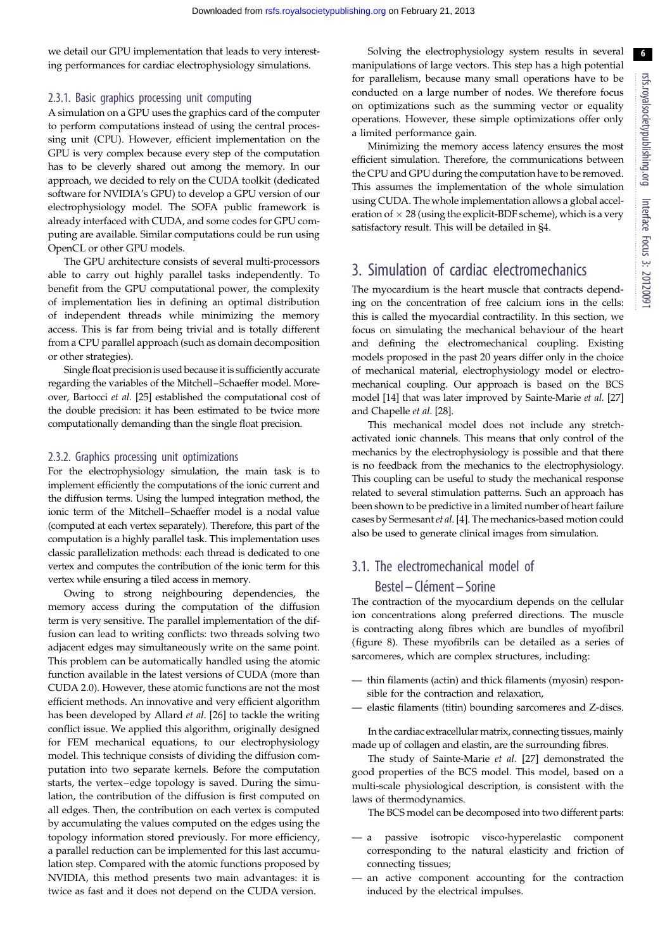6

we detail our GPU implementation that leads to very interesting performances for cardiac electrophysiology simulations.

### 2.3.1. Basic graphics processing unit computing

A simulation on a GPU uses the graphics card of the computer to perform computations instead of using the central processing unit (CPU). However, efficient implementation on the GPU is very complex because every step of the computation has to be cleverly shared out among the memory. In our approach, we decided to rely on the CUDA toolkit (dedicated software for NVIDIA's GPU) to develop a GPU version of our electrophysiology model. The SOFA public framework is already interfaced with CUDA, and some codes for GPU computing are available. Similar computations could be run using OpenCL or other GPU models.

The GPU architecture consists of several multi-processors able to carry out highly parallel tasks independently. To benefit from the GPU computational power, the complexity of implementation lies in defining an optimal distribution of independent threads while minimizing the memory access. This is far from being trivial and is totally different from a CPU parallel approach (such as domain decomposition or other strategies).

Single float precision is used because it is sufficiently accurate regarding the variables of the Mitchell–Schaeffer model. Moreover, Bartocci et al. [[25\]](#page-12-0) established the computational cost of the double precision: it has been estimated to be twice more computationally demanding than the single float precision.

### 2.3.2. Graphics processing unit optimizations

For the electrophysiology simulation, the main task is to implement efficiently the computations of the ionic current and the diffusion terms. Using the lumped integration method, the ionic term of the Mitchell–Schaeffer model is a nodal value (computed at each vertex separately). Therefore, this part of the computation is a highly parallel task. This implementation uses classic parallelization methods: each thread is dedicated to one vertex and computes the contribution of the ionic term for this vertex while ensuring a tiled access in memory.

Owing to strong neighbouring dependencies, the memory access during the computation of the diffusion term is very sensitive. The parallel implementation of the diffusion can lead to writing conflicts: two threads solving two adjacent edges may simultaneously write on the same point. This problem can be automatically handled using the atomic function available in the latest versions of CUDA (more than CUDA 2.0). However, these atomic functions are not the most efficient methods. An innovative and very efficient algorithm has been developed by Allard et al. [[26\]](#page-12-0) to tackle the writing conflict issue. We applied this algorithm, originally designed for FEM mechanical equations, to our electrophysiology model. This technique consists of dividing the diffusion computation into two separate kernels. Before the computation starts, the vertex –edge topology is saved. During the simulation, the contribution of the diffusion is first computed on all edges. Then, the contribution on each vertex is computed by accumulating the values computed on the edges using the topology information stored previously. For more efficiency, a parallel reduction can be implemented for this last accumulation step. Compared with the atomic functions proposed by NVIDIA, this method presents two main advantages: it is twice as fast and it does not depend on the CUDA version.

Solving the electrophysiology system results in several manipulations of large vectors. This step has a high potential for parallelism, because many small operations have to be conducted on a large number of nodes. We therefore focus on optimizations such as the summing vector or equality operations. However, these simple optimizations offer only a limited performance gain.

Minimizing the memory access latency ensures the most efficient simulation. Therefore, the communications between the CPU and GPU during the computation have to be removed. This assumes the implementation of the whole simulation using CUDA. The whole implementation allows a global acceleration of  $\times$  28 (using the explicit-BDF scheme), which is a very satisfactory result. This will be detailed in §4.

### 3. Simulation of cardiac electromechanics

The myocardium is the heart muscle that contracts depending on the concentration of free calcium ions in the cells: this is called the myocardial contractility. In this section, we focus on simulating the mechanical behaviour of the heart and defining the electromechanical coupling. Existing models proposed in the past 20 years differ only in the choice of mechanical material, electrophysiology model or electromechanical coupling. Our approach is based on the BCS model [\[14\]](#page-12-0) that was later improved by Sainte-Marie et al. [\[27\]](#page-12-0) and Chapelle et al. [\[28\]](#page-12-0).

This mechanical model does not include any stretchactivated ionic channels. This means that only control of the mechanics by the electrophysiology is possible and that there is no feedback from the mechanics to the electrophysiology. This coupling can be useful to study the mechanical response related to several stimulation patterns. Such an approach has been shown to be predictive in a limited number of heart failure cases by Sermesant et al. [\[4\]](#page-12-0). The mechanics-based motion could also be used to generate clinical images from simulation.

## 3.1. The electromechanical model of

### Bestel – Clément – Sorine

The contraction of the myocardium depends on the cellular ion concentrations along preferred directions. The muscle is contracting along fibres which are bundles of myofibril ([figure 8\)](#page-8-0). These myofibrils can be detailed as a series of sarcomeres, which are complex structures, including:

- thin filaments (actin) and thick filaments (myosin) responsible for the contraction and relaxation,
- elastic filaments (titin) bounding sarcomeres and Z-discs.

In the cardiac extracellular matrix, connecting tissues, mainly made up of collagen and elastin, are the surrounding fibres.

The study of Sainte-Marie et al. [\[27](#page-12-0)] demonstrated the good properties of the BCS model. This model, based on a multi-scale physiological description, is consistent with the laws of thermodynamics.

The BCS model can be decomposed into two different parts:

- a passive isotropic visco-hyperelastic component corresponding to the natural elasticity and friction of connecting tissues;
- an active component accounting for the contraction induced by the electrical impulses.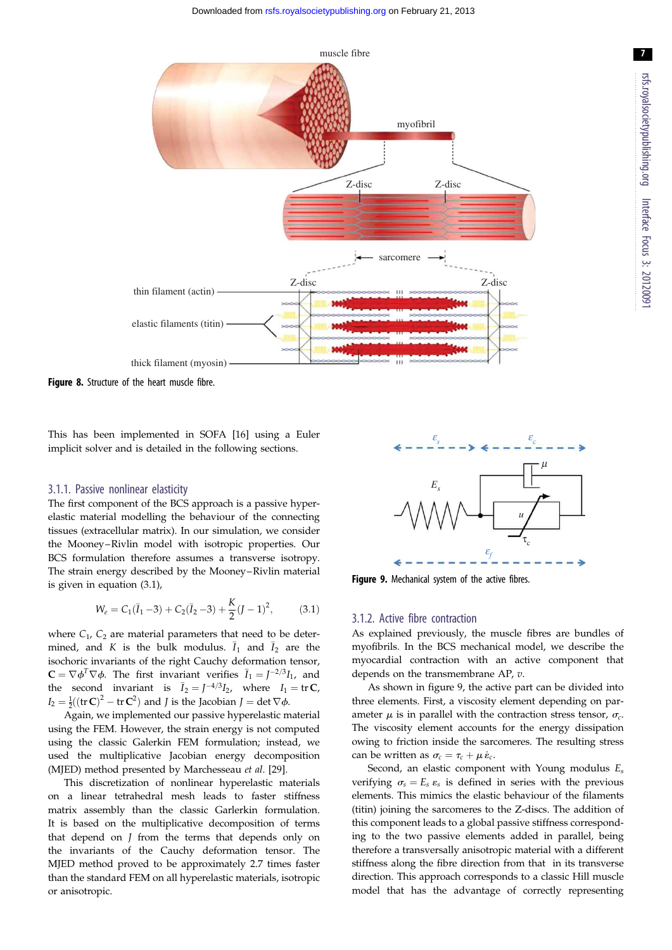<span id="page-8-0"></span>

Figure 8. Structure of the heart muscle fibre.

This has been implemented in SOFA [[16\]](#page-12-0) using a Euler implicit solver and is detailed in the following sections.

#### 3.1.1. Passive nonlinear elasticity

The first component of the BCS approach is a passive hyperelastic material modelling the behaviour of the connecting tissues (extracellular matrix). In our simulation, we consider the Mooney–Rivlin model with isotropic properties. Our BCS formulation therefore assumes a transverse isotropy. The strain energy described by the Mooney –Rivlin material is given in equation (3.1),

$$
W_e = C_1(\bar{I}_1 - 3) + C_2(\bar{I}_2 - 3) + \frac{K}{2}(J - 1)^2, \tag{3.1}
$$

where  $C_1$ ,  $C_2$  are material parameters that need to be determined, and K is the bulk modulus.  $\overline{I}_1$  and  $\overline{I}_2$  are the isochoric invariants of the right Cauchy deformation tensor,  $\mathbf{C} = \nabla \phi^T \nabla \phi$ . The first invariant verifies  $\overline{I}_1 = J^{-2/3} I_1$ , and the second invariant is  $\bar{I}_2 = J^{-4/3} I_2$ , where  $I_1 = \text{tr } C$ ,  $I_2 = \frac{1}{2}((tr\,\mathbf{C})^2 - tr\,\mathbf{C}^2)$  and *J* is the Jacobian *J* = det  $\nabla \phi$ .

Again, we implemented our passive hyperelastic material using the FEM. However, the strain energy is not computed using the classic Galerkin FEM formulation; instead, we used the multiplicative Jacobian energy decomposition (MJED) method presented by Marchesseau et al. [[29\]](#page-12-0).

This discretization of nonlinear hyperelastic materials on a linear tetrahedral mesh leads to faster stiffness matrix assembly than the classic Garlerkin formulation. It is based on the multiplicative decomposition of terms that depend on J from the terms that depends only on the invariants of the Cauchy deformation tensor. The MJED method proved to be approximately 2.7 times faster than the standard FEM on all hyperelastic materials, isotropic or anisotropic.



Figure 9. Mechanical system of the active fibres.

#### 3.1.2. Active fibre contraction

As explained previously, the muscle fibres are bundles of myofibrils. In the BCS mechanical model, we describe the myocardial contraction with an active component that depends on the transmembrane AP, v.

As shown in figure 9, the active part can be divided into three elements. First, a viscosity element depending on parameter  $\mu$  is in parallel with the contraction stress tensor,  $\sigma_c$ . The viscosity element accounts for the energy dissipation owing to friction inside the sarcomeres. The resulting stress can be written as  $\sigma_c = \tau_c + \mu \dot{\varepsilon}_c$ .

Second, an elastic component with Young modulus  $E_s$ verifying  $\sigma_s = E_s \varepsilon_s$  is defined in series with the previous elements. This mimics the elastic behaviour of the filaments (titin) joining the sarcomeres to the Z-discs. The addition of this component leads to a global passive stiffness corresponding to the two passive elements added in parallel, being therefore a transversally anisotropic material with a different stiffness along the fibre direction from that in its transverse direction. This approach corresponds to a classic Hill muscle model that has the advantage of correctly representing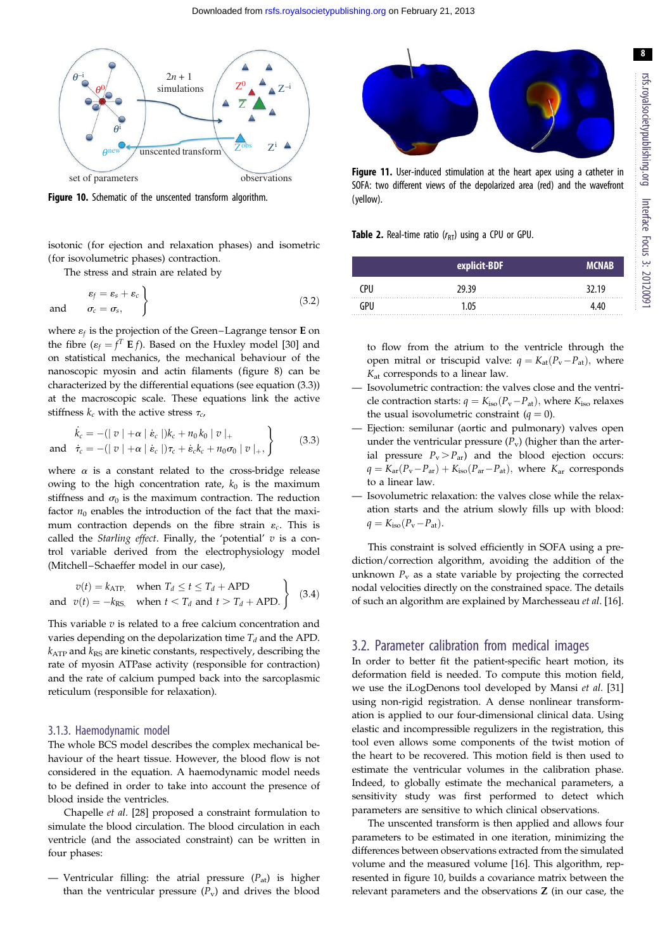<span id="page-9-0"></span>

Figure 10. Schematic of the unscented transform algorithm.

isotonic (for ejection and relaxation phases) and isometric (for isovolumetric phases) contraction.

The stress and strain are related by

$$
\varepsilon_f = \varepsilon_s + \varepsilon_c
$$
  
and 
$$
\sigma_c = \sigma_s,
$$
 (3.2)

where  $\varepsilon_f$  is the projection of the Green–Lagrange tensor **E** on the fibre ( $\varepsilon_f = f^T \mathbf{E} f$ ). Based on the Huxley model [[30\]](#page-12-0) and on statistical mechanics, the mechanical behaviour of the nanoscopic myosin and actin filaments [\(figure 8\)](#page-8-0) can be characterized by the differential equations (see equation (3.3)) at the macroscopic scale. These equations link the active stiffness  $k_c$  with the active stress  $\tau_c$ ,

$$
\dot{k}_c = -(|v| + \alpha | \dot{\varepsilon}_c |)k_c + n_0 k_0 |v|_+
$$
\nand\n
$$
\dot{\tau}_c = -(|v| + \alpha | \dot{\varepsilon}_c |) \tau_c + \dot{\varepsilon}_c k_c + n_0 \sigma_0 |v|_+,
$$
\n(3.3)

where  $\alpha$  is a constant related to the cross-bridge release owing to the high concentration rate,  $k_0$  is the maximum stiffness and  $\sigma_0$  is the maximum contraction. The reduction factor  $n_0$  enables the introduction of the fact that the maximum contraction depends on the fibre strain  $\varepsilon_c$ . This is called the *Starling effect*. Finally, the 'potential'  $v$  is a control variable derived from the electrophysiology model (Mitchell– Schaeffer model in our case),

$$
v(t) = k_{\text{ATP,}} \quad \text{when } T_d \le t \le T_d + \text{APD} \n\text{and } v(t) = -k_{\text{RS,}} \quad \text{when } t < T_d \text{ and } t > T_d + \text{APD.}
$$
\n(3.4)

This variable  $v$  is related to a free calcium concentration and varies depending on the depolarization time  $T_d$  and the APD.  $k_{\text{ATP}}$  and  $k_{\text{RS}}$  are kinetic constants, respectively, describing the rate of myosin ATPase activity (responsible for contraction) and the rate of calcium pumped back into the sarcoplasmic reticulum (responsible for relaxation).

#### 3.1.3. Haemodynamic model

The whole BCS model describes the complex mechanical behaviour of the heart tissue. However, the blood flow is not considered in the equation. A haemodynamic model needs to be defined in order to take into account the presence of blood inside the ventricles.

Chapelle et al. [[28\]](#page-12-0) proposed a constraint formulation to simulate the blood circulation. The blood circulation in each ventricle (and the associated constraint) can be written in four phases:

— Ventricular filling: the atrial pressure  $(P_{at})$  is higher than the ventricular pressure  $(P_v)$  and drives the blood



Figure 11. User-induced stimulation at the heart apex using a catheter in SOFA: two different views of the depolarized area (red) and the wavefront (yellow).

**Table 2.** Real-time ratio  $(r_{RT})$  using a CPU or GPU.

|            | explicit-BDF | <b>MCNAB</b> |
|------------|--------------|--------------|
| <b>CPU</b> | 29 39        | 32 19        |
| GPU        | 105          | 4.40         |

to flow from the atrium to the ventricle through the open mitral or triscupid valve:  $q = K_{at}(P_v - P_{at})$ , where  $K_{at}$  corresponds to a linear law.

- Isovolumetric contraction: the valves close and the ventricle contraction starts:  $q = K_{\text{iso}}(P_{\text{v}}-P_{\text{at}})$ , where  $K_{\text{iso}}$  relaxes the usual isovolumetric constraint  $(q = 0)$ .
- Ejection: semilunar (aortic and pulmonary) valves open under the ventricular pressure  $(P_v)$  (higher than the arterial pressure  $P_v > P_{ar}$ ) and the blood ejection occurs:  $q = K_{\text{ar}}(P_{\text{v}}-P_{\text{ar}}) + K_{\text{iso}}(P_{\text{ar}}-P_{\text{at}})$ , where  $K_{\text{ar}}$  corresponds to a linear law.
- Isovolumetric relaxation: the valves close while the relaxation starts and the atrium slowly fills up with blood:  $q = K_{\text{iso}}(P_{\text{v}}-P_{\text{at}}).$

This constraint is solved efficiently in SOFA using a prediction/correction algorithm, avoiding the addition of the unknown  $P_v$  as a state variable by projecting the corrected nodal velocities directly on the constrained space. The details of such an algorithm are explained by Marchesseau et al. [[16\]](#page-12-0).

### 3.2. Parameter calibration from medical images

In order to better fit the patient-specific heart motion, its deformation field is needed. To compute this motion field, we use the iLogDenons tool developed by Mansi et al. [[31\]](#page-12-0) using non-rigid registration. A dense nonlinear transformation is applied to our four-dimensional clinical data. Using elastic and incompressible regulizers in the registration, this tool even allows some components of the twist motion of the heart to be recovered. This motion field is then used to estimate the ventricular volumes in the calibration phase. Indeed, to globally estimate the mechanical parameters, a sensitivity study was first performed to detect which parameters are sensitive to which clinical observations.

The unscented transform is then applied and allows four parameters to be estimated in one iteration, minimizing the differences between observations extracted from the simulated volume and the measured volume [[16\]](#page-12-0). This algorithm, represented in figure 10, builds a covariance matrix between the relevant parameters and the observations Z (in our case, the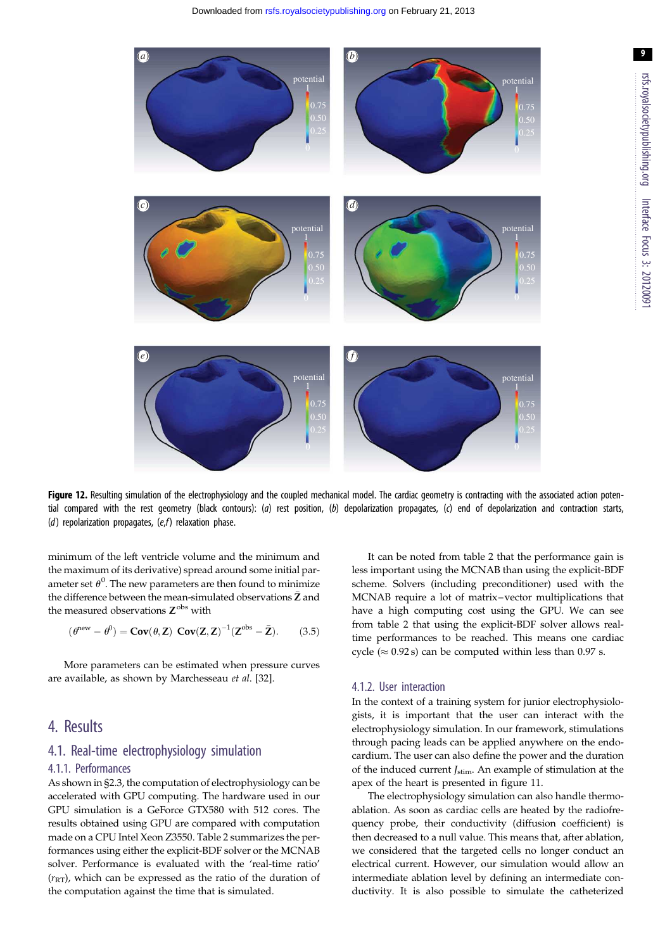<span id="page-10-0"></span>

Figure 12. Resulting simulation of the electrophysiology and the coupled mechanical model. The cardiac geometry is contracting with the associated action potential compared with the rest geometry (black contours): (a) rest position, (b) depolarization propagates, (c) end of depolarization and contraction starts,  $(d)$  repolarization propagates,  $(e,f)$  relaxation phase.

minimum of the left ventricle volume and the minimum and the maximum of its derivative) spread around some initial parameter set  $\theta^0$ . The new parameters are then found to minimize the difference between the mean-simulated observations  $\bar{Z}$  and the measured observations  $Z^{\rm obs}$  with

$$
(\theta^{\text{new}} - \theta^0) = \text{Cov}(\theta, \mathbf{Z}) \ \text{Cov}(\mathbf{Z}, \mathbf{Z})^{-1} (\mathbf{Z}^{\text{obs}} - \bar{\mathbf{Z}}). \tag{3.5}
$$

More parameters can be estimated when pressure curves are available, as shown by Marchesseau et al. [\[32](#page-12-0)].

### 4. Results

### 4.1. Real-time electrophysiology simulation

### 4.1.1. Performances

As shown in §2.3, the computation of electrophysiology can be accelerated with GPU computing. The hardware used in our GPU simulation is a GeForce GTX580 with 512 cores. The results obtained using GPU are compared with computation made on a CPU Intel Xeon Z3550. [Table 2](#page-9-0) summarizes the performances using either the explicit-BDF solver or the MCNAB solver. Performance is evaluated with the 'real-time ratio'  $(r_{RT})$ , which can be expressed as the ratio of the duration of the computation against the time that is simulated.

It can be noted from [table 2](#page-9-0) that the performance gain is less important using the MCNAB than using the explicit-BDF scheme. Solvers (including preconditioner) used with the MCNAB require a lot of matrix–vector multiplications that have a high computing cost using the GPU. We can see from [table 2](#page-9-0) that using the explicit-BDF solver allows realtime performances to be reached. This means one cardiac cycle ( $\approx 0.92$  s) can be computed within less than 0.97 s.

### 4.1.2. User interaction

In the context of a training system for junior electrophysiologists, it is important that the user can interact with the electrophysiology simulation. In our framework, stimulations through pacing leads can be applied anywhere on the endocardium. The user can also define the power and the duration of the induced current  $J_{\text{stim}}$ . An example of stimulation at the apex of the heart is presented in [figure 11](#page-9-0).

The electrophysiology simulation can also handle thermoablation. As soon as cardiac cells are heated by the radiofrequency probe, their conductivity (diffusion coefficient) is then decreased to a null value. This means that, after ablation, we considered that the targeted cells no longer conduct an electrical current. However, our simulation would allow an intermediate ablation level by defining an intermediate conductivity. It is also possible to simulate the catheterized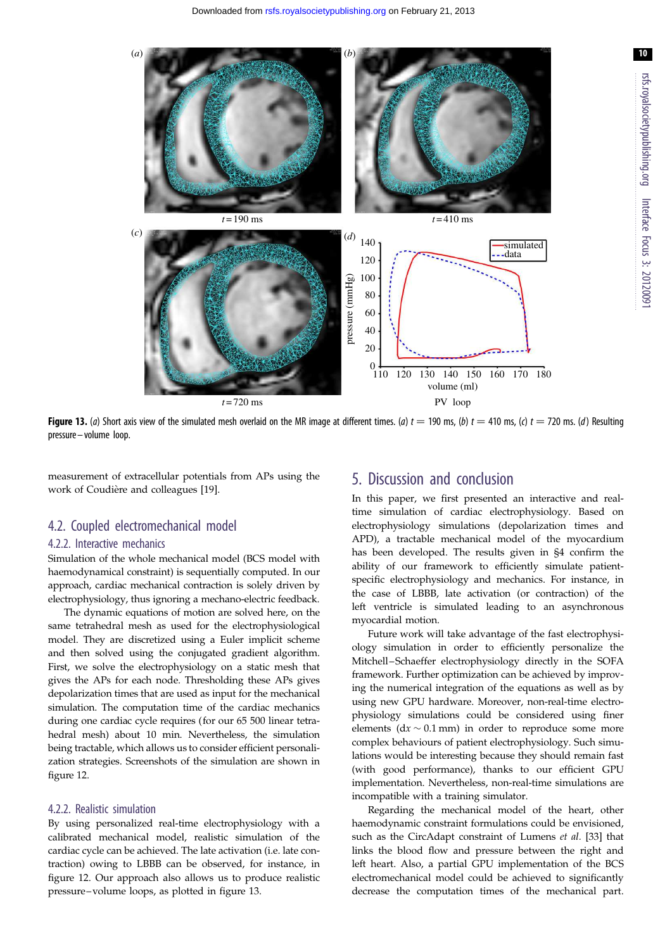

**Figure 13.** (a) Short axis view of the simulated mesh overlaid on the MR image at different times. (a)  $t = 190$  ms, (b)  $t = 410$  ms, (c)  $t = 720$  ms. (d) Resulting pressure– volume loop.

measurement of extracellular potentials from APs using the work of Coudière and colleagues [[19\]](#page-12-0).

### 4.2. Coupled electromechanical model

#### 4.2.2. Interactive mechanics

Simulation of the whole mechanical model (BCS model with haemodynamical constraint) is sequentially computed. In our approach, cardiac mechanical contraction is solely driven by electrophysiology, thus ignoring a mechano-electric feedback.

The dynamic equations of motion are solved here, on the same tetrahedral mesh as used for the electrophysiological model. They are discretized using a Euler implicit scheme and then solved using the conjugated gradient algorithm. First, we solve the electrophysiology on a static mesh that gives the APs for each node. Thresholding these APs gives depolarization times that are used as input for the mechanical simulation. The computation time of the cardiac mechanics during one cardiac cycle requires (for our 65 500 linear tetrahedral mesh) about 10 min. Nevertheless, the simulation being tractable, which allows us to consider efficient personalization strategies. Screenshots of the simulation are shown in [figure 12.](#page-10-0)

### 4.2.2. Realistic simulation

By using personalized real-time electrophysiology with a calibrated mechanical model, realistic simulation of the cardiac cycle can be achieved. The late activation (i.e. late contraction) owing to LBBB can be observed, for instance, in [figure 12.](#page-10-0) Our approach also allows us to produce realistic pressure–volume loops, as plotted in figure 13.

### 5. Discussion and conclusion

In this paper, we first presented an interactive and realtime simulation of cardiac electrophysiology. Based on electrophysiology simulations (depolarization times and APD), a tractable mechanical model of the myocardium has been developed. The results given in §4 confirm the ability of our framework to efficiently simulate patientspecific electrophysiology and mechanics. For instance, in the case of LBBB, late activation (or contraction) of the left ventricle is simulated leading to an asynchronous myocardial motion.

Future work will take advantage of the fast electrophysiology simulation in order to efficiently personalize the Mitchell–Schaeffer electrophysiology directly in the SOFA framework. Further optimization can be achieved by improving the numerical integration of the equations as well as by using new GPU hardware. Moreover, non-real-time electrophysiology simulations could be considered using finer elements ( $dx \sim 0.1$  mm) in order to reproduce some more complex behaviours of patient electrophysiology. Such simulations would be interesting because they should remain fast (with good performance), thanks to our efficient GPU implementation. Nevertheless, non-real-time simulations are incompatible with a training simulator.

Regarding the mechanical model of the heart, other haemodynamic constraint formulations could be envisioned, such as the CircAdapt constraint of Lumens et al. [[33\]](#page-12-0) that links the blood flow and pressure between the right and left heart. Also, a partial GPU implementation of the BCS electromechanical model could be achieved to significantly decrease the computation times of the mechanical part.